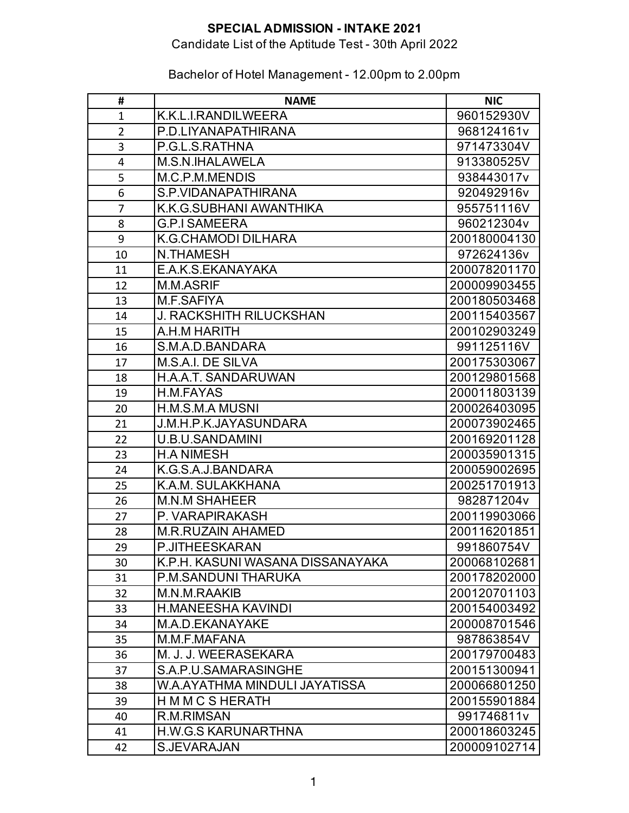# Candidate List of the Aptitude Test - 30th April 2022

| #              | <b>NAME</b>                      | <b>NIC</b>   |
|----------------|----------------------------------|--------------|
| $\mathbf{1}$   | K.K.L.I.RANDILWEERA              | 960152930V   |
| $\overline{2}$ | P.D.LIYANAPATHIRANA              | 968124161v   |
| 3              | P.G.L.S.RATHNA                   | 971473304V   |
| 4              | M.S.N.IHALAWELA                  | 913380525V   |
| 5              | M.C.P.M.MENDIS                   | 938443017v   |
| 6              | S.P.VIDANAPATHIRANA              | 920492916v   |
| 7              | K.K.G.SUBHANI AWANTHIKA          | 955751116V   |
| 8              | <b>G.P.I SAMEERA</b>             | 960212304v   |
| 9              | K.G.CHAMODI DILHARA              | 200180004130 |
| 10             | <b>N.THAMESH</b>                 | 972624136v   |
| 11             | E.A.K.S.EKANAYAKA                | 200078201170 |
| 12             | M.M.ASRIF                        | 200009903455 |
| 13             | M.F.SAFIYA                       | 200180503468 |
| 14             | <b>J. RACKSHITH RILUCKSHAN</b>   | 200115403567 |
| 15             | A.H.M HARITH                     | 200102903249 |
| 16             | S.M.A.D.BANDARA                  | 991125116V   |
| 17             | M.S.A.I. DE SILVA                | 200175303067 |
| 18             | <b>H.A.A.T. SANDARUWAN</b>       | 200129801568 |
| 19             | H.M.FAYAS                        | 200011803139 |
| 20             | H.M.S.M.A MUSNI                  | 200026403095 |
| 21             | J.M.H.P.K.JAYASUNDARA            | 200073902465 |
| 22             | U.B.U.SANDAMINI                  | 200169201128 |
| 23             | <b>H.A NIMESH</b>                | 200035901315 |
| 24             | K.G.S.A.J.BANDARA                | 200059002695 |
| 25             | K.A.M. SULAKKHANA                | 200251701913 |
| 26             | <b>M.N.M SHAHEER</b>             | 982871204v   |
| 27             | P. VARAPIRAKASH                  | 200119903066 |
| 28             | <b>M.R.RUZAIN AHAMED</b>         | 200116201851 |
| 29             | <b>P.JITHEESKARAN</b>            | 991860754V   |
| 30             | K.P.H. KASUNI WASANA DISSANAYAKA | 200068102681 |
| 31             | P.M.SANDUNI THARUKA              | 200178202000 |
| 32             | M.N.M.RAAKIB                     | 200120701103 |
| 33             | <b>H.MANEESHA KAVINDI</b>        | 200154003492 |
| 34             | M.A.D.EKANAYAKE                  | 200008701546 |
| 35             | M.M.F.MAFANA                     | 987863854V   |
| 36             | M. J. J. WEERASEKARA             | 200179700483 |
| 37             | S.A.P.U.SAMARASINGHE             | 200151300941 |
| 38             | W.A.AYATHMA MINDULI JAYATISSA    | 200066801250 |
| 39             | H M M C S HERATH                 | 200155901884 |
| 40             | R.M.RIMSAN                       | 991746811v   |
| 41             | <b>H.W.G.S KARUNARTHNA</b>       | 200018603245 |
| 42             | S.JEVARAJAN                      | 200009102714 |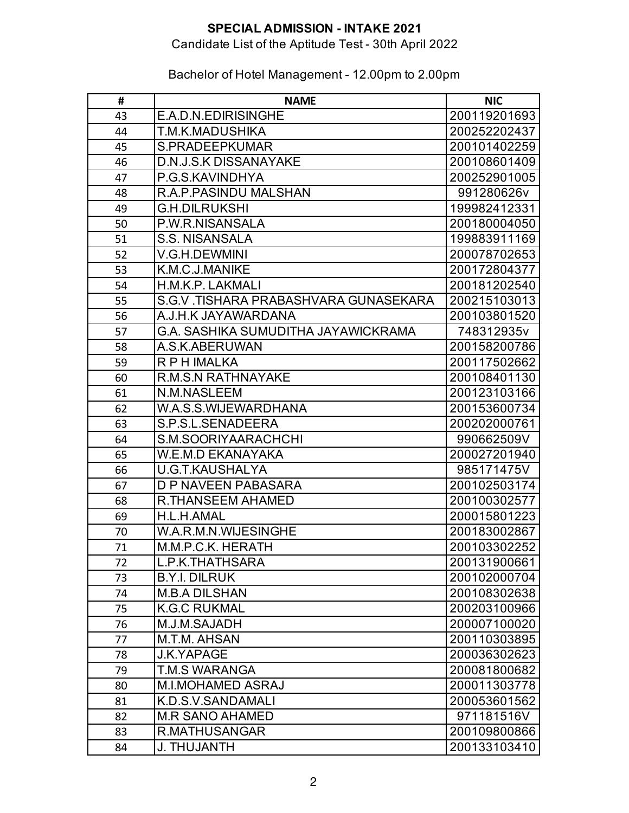## Candidate List of the Aptitude Test - 30th April 2022

| #  | <b>NAME</b>                           | <b>NIC</b>   |
|----|---------------------------------------|--------------|
| 43 | E.A.D.N.EDIRISINGHE                   | 200119201693 |
| 44 | T.M.K.MADUSHIKA                       | 200252202437 |
| 45 | <b>S.PRADEEPKUMAR</b>                 | 200101402259 |
| 46 | <b>D.N.J.S.K DISSANAYAKE</b>          | 200108601409 |
| 47 | P.G.S.KAVINDHYA                       | 200252901005 |
| 48 | R.A.P.PASINDU MALSHAN                 | 991280626v   |
| 49 | <b>G.H.DILRUKSHI</b>                  | 199982412331 |
| 50 | P.W.R.NISANSALA                       | 200180004050 |
| 51 | <b>S.S. NISANSALA</b>                 | 199883911169 |
| 52 | V.G.H.DEWMINI                         | 200078702653 |
| 53 | K.M.C.J.MANIKE                        | 200172804377 |
| 54 | H.M.K.P. LAKMALI                      | 200181202540 |
| 55 | S.G.V. TISHARA PRABASHVARA GUNASEKARA | 200215103013 |
| 56 | A.J.H.K JAYAWARDANA                   | 200103801520 |
| 57 | G.A. SASHIKA SUMUDITHA JAYAWICKRAMA   | 748312935v   |
| 58 | A.S.K.ABERUWAN                        | 200158200786 |
| 59 | <b>RPH IMALKA</b>                     | 200117502662 |
| 60 | <b>R.M.S.N RATHNAYAKE</b>             | 200108401130 |
| 61 | N.M.NASLEEM                           | 200123103166 |
| 62 | W.A.S.S.WIJEWARDHANA                  | 200153600734 |
| 63 | S.P.S.L.SENADEERA                     | 200202000761 |
| 64 | S.M.SOORIYAARACHCHI                   | 990662509V   |
| 65 | <b>W.E.M.D EKANAYAKA</b>              | 200027201940 |
| 66 | <b>U.G.T.KAUSHALYA</b>                | 985171475V   |
| 67 | <b>D P NAVEEN PABASARA</b>            | 200102503174 |
| 68 | <b>R.THANSEEM AHAMED</b>              | 200100302577 |
| 69 | H.L.H.AMAL                            | 200015801223 |
| 70 | W.A.R.M.N.WIJESINGHE                  | 200183002867 |
| 71 | M.M.P.C.K. HERATH                     | 200103302252 |
| 72 | L.P.K.THATHSARA                       | 200131900661 |
| 73 | <b>B.Y.I. DILRUK</b>                  | 200102000704 |
| 74 | <b>M.B.A DILSHAN</b>                  | 200108302638 |
| 75 | <b>K.G.C RUKMAL</b>                   | 200203100966 |
| 76 | M.J.M.SAJADH                          | 200007100020 |
| 77 | M.T.M. AHSAN                          | 200110303895 |
| 78 | <b>J.K.YAPAGE</b>                     | 200036302623 |
| 79 | <b>T.M.S WARANGA</b>                  | 200081800682 |
| 80 | <b>M.I.MOHAMED ASRAJ</b>              | 200011303778 |
| 81 | K.D.S.V.SANDAMALI                     | 200053601562 |
| 82 | <b>M.R SANO AHAMED</b>                | 971181516V   |
| 83 | R.MATHUSANGAR                         | 200109800866 |
| 84 | <b>J. THUJANTH</b>                    | 200133103410 |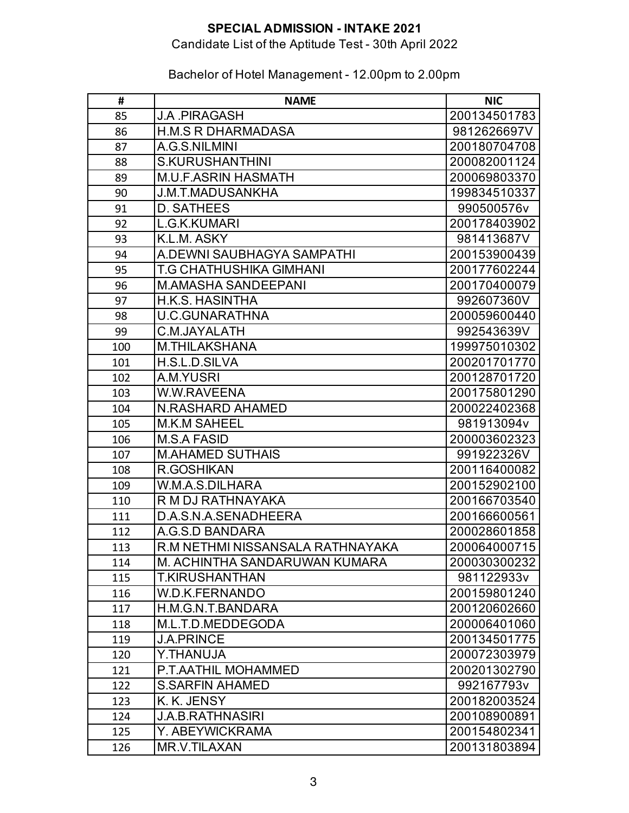## Candidate List of the Aptitude Test - 30th April 2022

| #   | <b>NAME</b>                      | <b>NIC</b>   |
|-----|----------------------------------|--------------|
| 85  | <b>J.A. PIRAGASH</b>             | 200134501783 |
| 86  | <b>H.M.S R DHARMADASA</b>        | 9812626697V  |
| 87  | A.G.S.NILMINI                    | 200180704708 |
| 88  | <b>S.KURUSHANTHINI</b>           | 200082001124 |
| 89  | <b>M.U.F.ASRIN HASMATH</b>       | 200069803370 |
| 90  | <b>J.M.T.MADUSANKHA</b>          | 199834510337 |
| 91  | <b>D. SATHEES</b>                | 990500576v   |
| 92  | L.G.K.KUMARI                     | 200178403902 |
| 93  | K.L.M. ASKY                      | 981413687V   |
| 94  | A.DEWNI SAUBHAGYA SAMPATHI       | 200153900439 |
| 95  | T.G CHATHUSHIKA GIMHANI          | 200177602244 |
| 96  | <b>M.AMASHA SANDEEPANI</b>       | 200170400079 |
| 97  | <b>H.K.S. HASINTHA</b>           | 992607360V   |
| 98  | <b>U.C.GUNARATHNA</b>            | 200059600440 |
| 99  | C.M.JAYALATH                     | 992543639V   |
| 100 | <b>M.THILAKSHANA</b>             | 199975010302 |
| 101 | H.S.L.D.SILVA                    | 200201701770 |
| 102 | A.M.YUSRI                        | 200128701720 |
| 103 | <b>W.W.RAVEENA</b>               | 200175801290 |
| 104 | N.RASHARD AHAMED                 | 200022402368 |
| 105 | <b>M.K.M SAHEEL</b>              | 981913094v   |
| 106 | <b>M.S.A FASID</b>               | 200003602323 |
| 107 | <b>M.AHAMED SUTHAIS</b>          | 991922326V   |
| 108 | <b>R.GOSHIKAN</b>                | 200116400082 |
| 109 | W.M.A.S.DILHARA                  | 200152902100 |
| 110 | R M DJ RATHNAYAKA                | 200166703540 |
| 111 | D.A.S.N.A.SENADHEERA             | 200166600561 |
| 112 | A.G.S.D BANDARA                  | 200028601858 |
| 113 | R.M NETHMI NISSANSALA RATHNAYAKA | 200064000715 |
| 114 | M. ACHINTHA SANDARUWAN KUMARA    | 200030300232 |
| 115 | <b>T.KIRUSHANTHAN</b>            | 981122933v   |
| 116 | W.D.K.FERNANDO                   | 200159801240 |
| 117 | H.M.G.N.T.BANDARA                | 200120602660 |
| 118 | M.L.T.D.MEDDEGODA                | 200006401060 |
| 119 | <b>J.A.PRINCE</b>                | 200134501775 |
| 120 | Y.THANUJA                        | 200072303979 |
| 121 | P.T.AATHIL MOHAMMED              | 200201302790 |
| 122 | <b>S.SARFIN AHAMED</b>           | 992167793v   |
| 123 | K. K. JENSY                      | 200182003524 |
| 124 | J.A.B.RATHNASIRI                 | 200108900891 |
| 125 | Y. ABEYWICKRAMA                  | 200154802341 |
| 126 | <b>MR.V.TILAXAN</b>              | 200131803894 |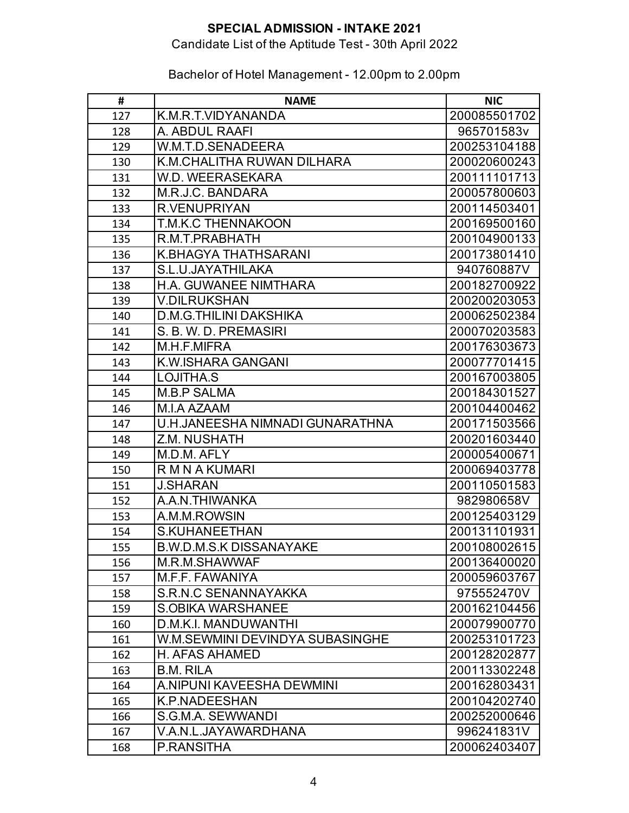#### Candidate List of the Aptitude Test - 30th April 2022

#### **# NAME NIC** 127 K.M.R.T.VIDYANANDA 200085501702 128 A. ABDUL RAAFI 965701583v 129 | W.M.T.D.SENADEERA | 200253104188 130 K.M.CHALITHA RUWAN DILHARA 200020600243 131 | W.D. WEERASEKARA | 200111101713 132 | M.R.J.C. BANDARA | 200057800603 133 R.VENUPRIYAN 200114503401 134 | T.M.K.C THENNAKOON | 200169500160 135 R.M.T.PRABHATH 200104900133 136 K.BHAGYA THATHSARANI 200173801410 137 S.L.U.JAYATHILAKA 940760887V 138 | H.A. GUWANEE NIMTHARA | 200182700922 139 V.DILRUKSHAN 200200203053 140 D.M.G.THILINI DAKSHIKA 200062502384 141 S.B. W.D. PREMASIRI 200070203583 142 | M.H.F.MIFRA 200176303673 143 | K.W.ISHARA GANGANI | 200077701415 144 LOJITHA.S 200167003805 145 M.B.P SALMA 200184301527 146 M.I.A AZAAM 200104400462 147 U.H.JANEESHA NIMNADI GUNARATHNA 200171503566 148 Z.M. NUSHATH 200201603440 149 M.D.M. AFLY 200005400671 150 R M N A KUMARI 200069403778 151 J.SHARAN 200110501583 152 A.A.N.THIWANKA 982980658V 153 | A.M.M.ROWSIN | 200125403129 154 S.KUHANEETHAN 200131101931 155 B.W.D.M.S.K DISSANAYAKE 200108002615 156 M.R.M.SHAWWAF 200136400020 157 M.F.F. FAWANIYA 200059603767 158 S.R.N.C SENANNAYAKKA 1975552470V 159 S.OBIKA WARSHANEE 200162104456 160 D.M.K.I. MANDUWANTHI 200079900770 161 W.M.SEWMINI DEVINDYA SUBASINGHE 200253101723 162 H. AFAS AHAMED 200128202877 163 B.M. RILA 200113302248 164 A.NIPUNI KAVEESHA DEWMINI 200162803431 165 K.P.NADEESHAN 200104202740 166 S.G.M.A. SEWWANDI 200252000646 167 V.A.N.L.JAYAWARDHANA | 996241831V 168 P.RANSITHA 200062403407